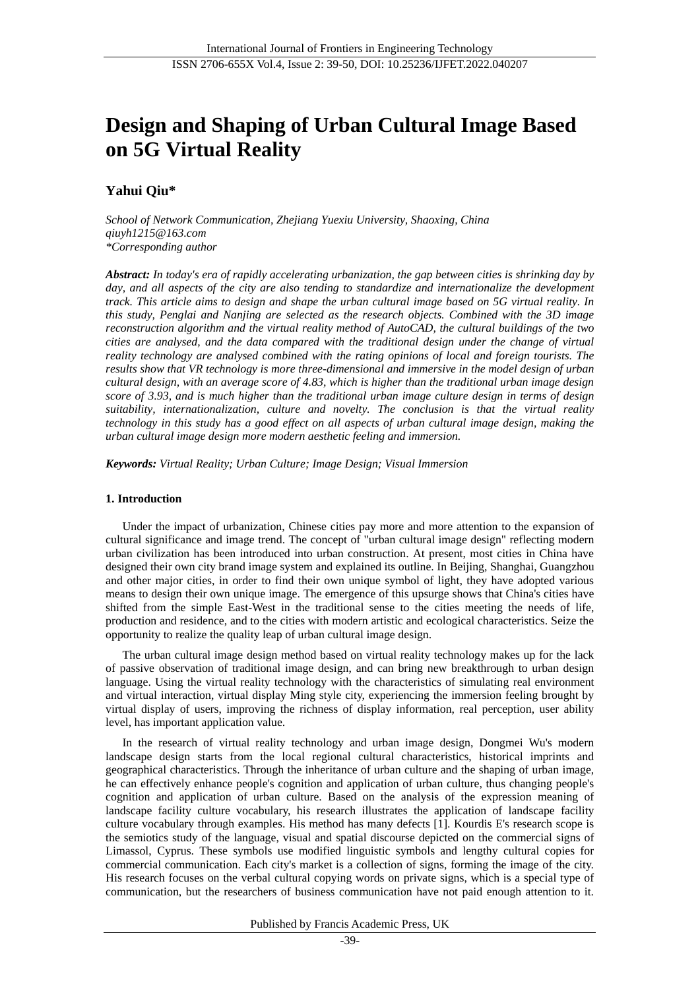# **Design and Shaping of Urban Cultural Image Based on 5G Virtual Reality**

## **Yahui Qiu\***

*School of Network Communication, Zhejiang Yuexiu University, Shaoxing, China qiuyh1215@163.com \*Corresponding author*

*Abstract: In today's era of rapidly accelerating urbanization, the gap between cities is shrinking day by*  day, and all aspects of the city are also tending to standardize and internationalize the development *track. This article aims to design and shape the urban cultural image based on 5G virtual reality. In this study, Penglai and Nanjing are selected as the research objects. Combined with the 3D image reconstruction algorithm and the virtual reality method of AutoCAD, the cultural buildings of the two cities are analysed, and the data compared with the traditional design under the change of virtual reality technology are analysed combined with the rating opinions of local and foreign tourists. The results show that VR technology is more three-dimensional and immersive in the model design of urban cultural design, with an average score of 4.83, which is higher than the traditional urban image design score of 3.93, and is much higher than the traditional urban image culture design in terms of design suitability, internationalization, culture and novelty. The conclusion is that the virtual reality technology in this study has a good effect on all aspects of urban cultural image design, making the urban cultural image design more modern aesthetic feeling and immersion.*

*Keywords: Virtual Reality; Urban Culture; Image Design; Visual Immersion*

## **1. Introduction**

Under the impact of urbanization, Chinese cities pay more and more attention to the expansion of cultural significance and image trend. The concept of "urban cultural image design" reflecting modern urban civilization has been introduced into urban construction. At present, most cities in China have designed their own city brand image system and explained its outline. In Beijing, Shanghai, Guangzhou and other major cities, in order to find their own unique symbol of light, they have adopted various means to design their own unique image. The emergence of this upsurge shows that China's cities have shifted from the simple East-West in the traditional sense to the cities meeting the needs of life, production and residence, and to the cities with modern artistic and ecological characteristics. Seize the opportunity to realize the quality leap of urban cultural image design.

The urban cultural image design method based on virtual reality technology makes up for the lack of passive observation of traditional image design, and can bring new breakthrough to urban design language. Using the virtual reality technology with the characteristics of simulating real environment and virtual interaction, virtual display Ming style city, experiencing the immersion feeling brought by virtual display of users, improving the richness of display information, real perception, user ability level, has important application value.

In the research of virtual reality technology and urban image design, Dongmei Wu's modern landscape design starts from the local regional cultural characteristics, historical imprints and geographical characteristics. Through the inheritance of urban culture and the shaping of urban image, he can effectively enhance people's cognition and application of urban culture, thus changing people's cognition and application of urban culture. Based on the analysis of the expression meaning of landscape facility culture vocabulary, his research illustrates the application of landscape facility culture vocabulary through examples. His method has many defects [1]. Kourdis E's research scope is the semiotics study of the language, visual and spatial discourse depicted on the commercial signs of Limassol, Cyprus. These symbols use modified linguistic symbols and lengthy cultural copies for commercial communication. Each city's market is a collection of signs, forming the image of the city. His research focuses on the verbal cultural copying words on private signs, which is a special type of communication, but the researchers of business communication have not paid enough attention to it.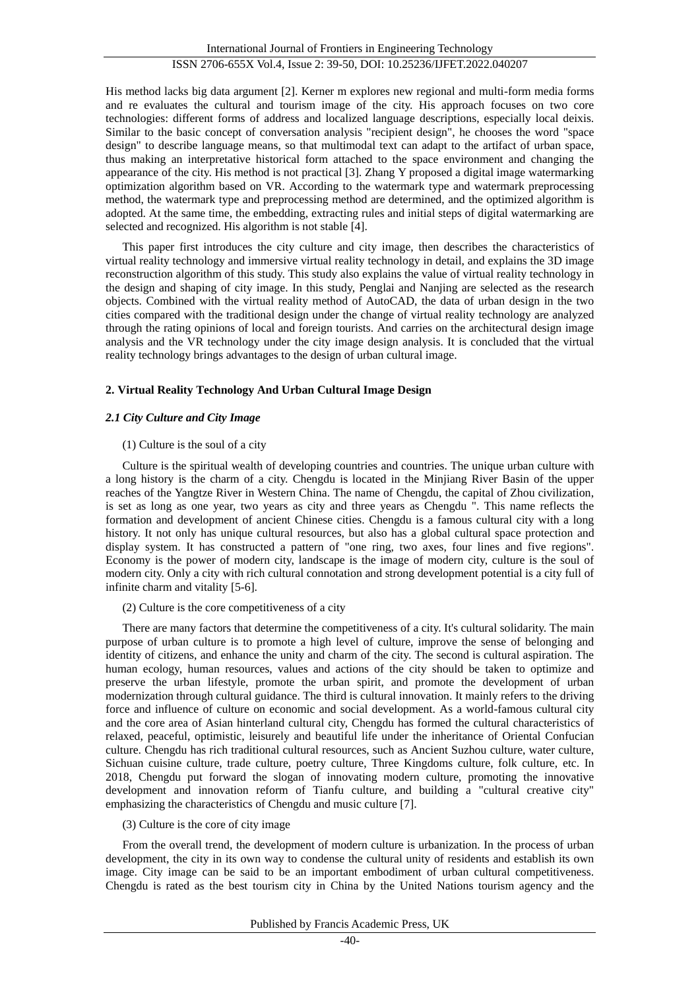His method lacks big data argument [2]. Kerner m explores new regional and multi-form media forms and re evaluates the cultural and tourism image of the city. His approach focuses on two core technologies: different forms of address and localized language descriptions, especially local deixis. Similar to the basic concept of conversation analysis "recipient design", he chooses the word "space design" to describe language means, so that multimodal text can adapt to the artifact of urban space, thus making an interpretative historical form attached to the space environment and changing the appearance of the city. His method is not practical [3]. Zhang Y proposed a digital image watermarking optimization algorithm based on VR. According to the watermark type and watermark preprocessing method, the watermark type and preprocessing method are determined, and the optimized algorithm is adopted. At the same time, the embedding, extracting rules and initial steps of digital watermarking are selected and recognized. His algorithm is not stable [4].

This paper first introduces the city culture and city image, then describes the characteristics of virtual reality technology and immersive virtual reality technology in detail, and explains the 3D image reconstruction algorithm of this study. This study also explains the value of virtual reality technology in the design and shaping of city image. In this study, Penglai and Nanjing are selected as the research objects. Combined with the virtual reality method of AutoCAD, the data of urban design in the two cities compared with the traditional design under the change of virtual reality technology are analyzed through the rating opinions of local and foreign tourists. And carries on the architectural design image analysis and the VR technology under the city image design analysis. It is concluded that the virtual reality technology brings advantages to the design of urban cultural image.

## **2. Virtual Reality Technology And Urban Cultural Image Design**

## *2.1 City Culture and City Image*

## (1) Culture is the soul of a city

Culture is the spiritual wealth of developing countries and countries. The unique urban culture with a long history is the charm of a city. Chengdu is located in the Minjiang River Basin of the upper reaches of the Yangtze River in Western China. The name of Chengdu, the capital of Zhou civilization, is set as long as one year, two years as city and three years as Chengdu ". This name reflects the formation and development of ancient Chinese cities. Chengdu is a famous cultural city with a long history. It not only has unique cultural resources, but also has a global cultural space protection and display system. It has constructed a pattern of "one ring, two axes, four lines and five regions". Economy is the power of modern city, landscape is the image of modern city, culture is the soul of modern city. Only a city with rich cultural connotation and strong development potential is a city full of infinite charm and vitality [5-6].

## (2) Culture is the core competitiveness of a city

There are many factors that determine the competitiveness of a city. It's cultural solidarity. The main purpose of urban culture is to promote a high level of culture, improve the sense of belonging and identity of citizens, and enhance the unity and charm of the city. The second is cultural aspiration. The human ecology, human resources, values and actions of the city should be taken to optimize and preserve the urban lifestyle, promote the urban spirit, and promote the development of urban modernization through cultural guidance. The third is cultural innovation. It mainly refers to the driving force and influence of culture on economic and social development. As a world-famous cultural city and the core area of Asian hinterland cultural city, Chengdu has formed the cultural characteristics of relaxed, peaceful, optimistic, leisurely and beautiful life under the inheritance of Oriental Confucian culture. Chengdu has rich traditional cultural resources, such as Ancient Suzhou culture, water culture, Sichuan cuisine culture, trade culture, poetry culture, Three Kingdoms culture, folk culture, etc. In 2018, Chengdu put forward the slogan of innovating modern culture, promoting the innovative development and innovation reform of Tianfu culture, and building a "cultural creative city" emphasizing the characteristics of Chengdu and music culture [7].

## (3) Culture is the core of city image

From the overall trend, the development of modern culture is urbanization. In the process of urban development, the city in its own way to condense the cultural unity of residents and establish its own image. City image can be said to be an important embodiment of urban cultural competitiveness. Chengdu is rated as the best tourism city in China by the United Nations tourism agency and the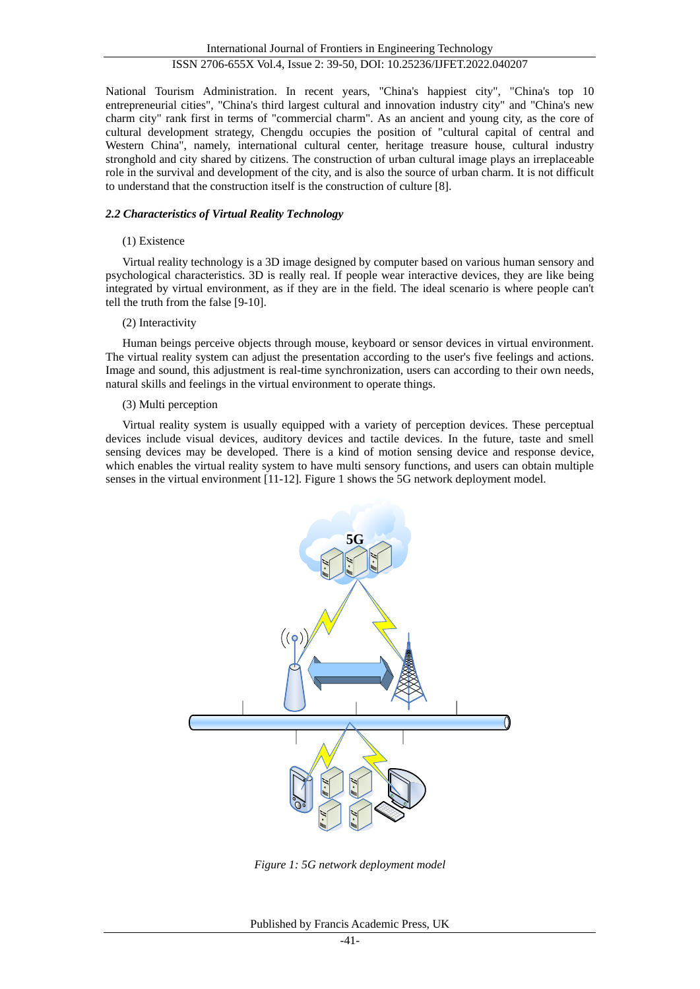National Tourism Administration. In recent years, "China's happiest city", "China's top 10 entrepreneurial cities", "China's third largest cultural and innovation industry city" and "China's new charm city" rank first in terms of "commercial charm". As an ancient and young city, as the core of cultural development strategy, Chengdu occupies the position of "cultural capital of central and Western China", namely, international cultural center, heritage treasure house, cultural industry stronghold and city shared by citizens. The construction of urban cultural image plays an irreplaceable role in the survival and development of the city, and is also the source of urban charm. It is not difficult to understand that the construction itself is the construction of culture [8].

## *2.2 Characteristics of Virtual Reality Technology*

## (1) Existence

Virtual reality technology is a 3D image designed by computer based on various human sensory and psychological characteristics. 3D is really real. If people wear interactive devices, they are like being integrated by virtual environment, as if they are in the field. The ideal scenario is where people can't tell the truth from the false [9-10].

## (2) Interactivity

Human beings perceive objects through mouse, keyboard or sensor devices in virtual environment. The virtual reality system can adjust the presentation according to the user's five feelings and actions. Image and sound, this adjustment is real-time synchronization, users can according to their own needs, natural skills and feelings in the virtual environment to operate things.

## (3) Multi perception

Virtual reality system is usually equipped with a variety of perception devices. These perceptual devices include visual devices, auditory devices and tactile devices. In the future, taste and smell sensing devices may be developed. There is a kind of motion sensing device and response device, which enables the virtual reality system to have multi sensory functions, and users can obtain multiple senses in the virtual environment [11-12]. Figure 1 shows the 5G network deployment model.



*Figure 1: 5G network deployment model*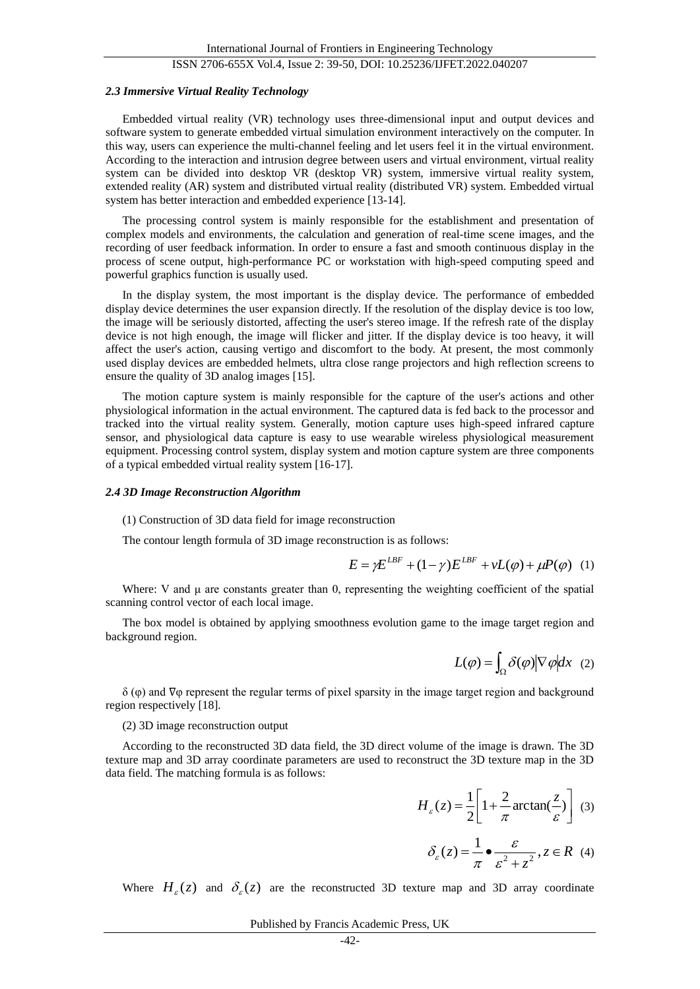#### *2.3 Immersive Virtual Reality Technology*

Embedded virtual reality (VR) technology uses three-dimensional input and output devices and software system to generate embedded virtual simulation environment interactively on the computer. In this way, users can experience the multi-channel feeling and let users feel it in the virtual environment. According to the interaction and intrusion degree between users and virtual environment, virtual reality system can be divided into desktop VR (desktop VR) system, immersive virtual reality system, extended reality (AR) system and distributed virtual reality (distributed VR) system. Embedded virtual system has better interaction and embedded experience [13-14].

The processing control system is mainly responsible for the establishment and presentation of complex models and environments, the calculation and generation of real-time scene images, and the recording of user feedback information. In order to ensure a fast and smooth continuous display in the process of scene output, high-performance PC or workstation with high-speed computing speed and powerful graphics function is usually used.

In the display system, the most important is the display device. The performance of embedded display device determines the user expansion directly. If the resolution of the display device is too low, the image will be seriously distorted, affecting the user's stereo image. If the refresh rate of the display device is not high enough, the image will flicker and jitter. If the display device is too heavy, it will affect the user's action, causing vertigo and discomfort to the body. At present, the most commonly used display devices are embedded helmets, ultra close range projectors and high reflection screens to ensure the quality of 3D analog images [15].

The motion capture system is mainly responsible for the capture of the user's actions and other physiological information in the actual environment. The captured data is fed back to the processor and tracked into the virtual reality system. Generally, motion capture uses high-speed infrared capture sensor, and physiological data capture is easy to use wearable wireless physiological measurement equipment. Processing control system, display system and motion capture system are three components of a typical embedded virtual reality system [16-17].

#### *2.4 3D Image Reconstruction Algorithm*

#### (1) Construction of 3D data field for image reconstruction

The contour length formula of 3D image reconstruction is as follows:

$$
E = \gamma E^{LBF} + (1 - \gamma)E^{LBF} + vL(\varphi) + \mu P(\varphi)
$$
 (1)

Where: V and  $\mu$  are constants greater than 0, representing the weighting coefficient of the spatial scanning control vector of each local image.

The box model is obtained by applying smoothness evolution game to the image target region and background region.

$$
L(\varphi) = \int_{\Omega} \delta(\varphi) |\nabla \varphi| dx
$$
 (2)

 $\delta$  ( $\varphi$ ) and  $\nabla\varphi$  represent the regular terms of pixel sparsity in the image target region and background region respectively [18].

#### (2) 3D image reconstruction output

According to the reconstructed 3D data field, the 3D direct volume of the image is drawn. The 3D texture map and 3D array coordinate parameters are used to reconstruct the 3D texture map in the 3D data field. The matching formula is as follows:

$$
H_{\varepsilon}(z) = \frac{1}{2} \left[ 1 + \frac{2}{\pi} \arctan(\frac{z}{\varepsilon}) \right] \tag{3}
$$

$$
\delta_{\varepsilon}(z) = \frac{1}{\pi} \bullet \frac{\varepsilon}{\varepsilon^2 + z^2}, z \in R \quad (4)
$$

Where  $H_{\varepsilon}(z)$  and  $\delta_{\varepsilon}(z)$  are the reconstructed 3D texture map and 3D array coordinate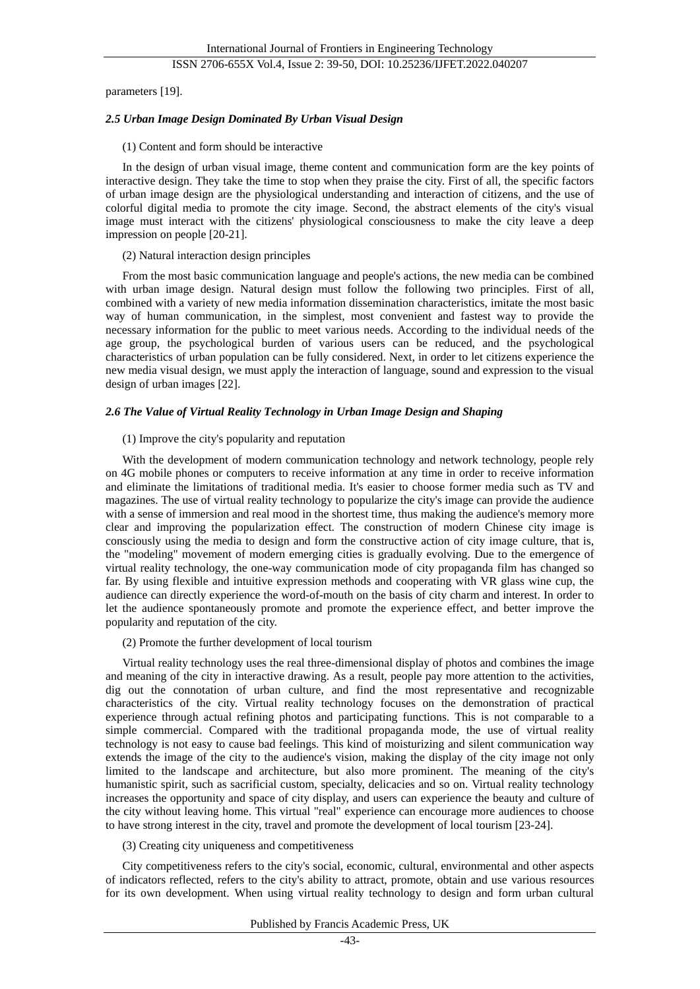parameters [19].

#### *2.5 Urban Image Design Dominated By Urban Visual Design*

#### (1) Content and form should be interactive

In the design of urban visual image, theme content and communication form are the key points of interactive design. They take the time to stop when they praise the city. First of all, the specific factors of urban image design are the physiological understanding and interaction of citizens, and the use of colorful digital media to promote the city image. Second, the abstract elements of the city's visual image must interact with the citizens' physiological consciousness to make the city leave a deep impression on people [20-21].

#### (2) Natural interaction design principles

From the most basic communication language and people's actions, the new media can be combined with urban image design. Natural design must follow the following two principles. First of all, combined with a variety of new media information dissemination characteristics, imitate the most basic way of human communication, in the simplest, most convenient and fastest way to provide the necessary information for the public to meet various needs. According to the individual needs of the age group, the psychological burden of various users can be reduced, and the psychological characteristics of urban population can be fully considered. Next, in order to let citizens experience the new media visual design, we must apply the interaction of language, sound and expression to the visual design of urban images [22].

#### *2.6 The Value of Virtual Reality Technology in Urban Image Design and Shaping*

#### (1) Improve the city's popularity and reputation

With the development of modern communication technology and network technology, people rely on 4G mobile phones or computers to receive information at any time in order to receive information and eliminate the limitations of traditional media. It's easier to choose former media such as TV and magazines. The use of virtual reality technology to popularize the city's image can provide the audience with a sense of immersion and real mood in the shortest time, thus making the audience's memory more clear and improving the popularization effect. The construction of modern Chinese city image is consciously using the media to design and form the constructive action of city image culture, that is, the "modeling" movement of modern emerging cities is gradually evolving. Due to the emergence of virtual reality technology, the one-way communication mode of city propaganda film has changed so far. By using flexible and intuitive expression methods and cooperating with VR glass wine cup, the audience can directly experience the word-of-mouth on the basis of city charm and interest. In order to let the audience spontaneously promote and promote the experience effect, and better improve the popularity and reputation of the city.

#### (2) Promote the further development of local tourism

Virtual reality technology uses the real three-dimensional display of photos and combines the image and meaning of the city in interactive drawing. As a result, people pay more attention to the activities, dig out the connotation of urban culture, and find the most representative and recognizable characteristics of the city. Virtual reality technology focuses on the demonstration of practical experience through actual refining photos and participating functions. This is not comparable to a simple commercial. Compared with the traditional propaganda mode, the use of virtual reality technology is not easy to cause bad feelings. This kind of moisturizing and silent communication way extends the image of the city to the audience's vision, making the display of the city image not only limited to the landscape and architecture, but also more prominent. The meaning of the city's humanistic spirit, such as sacrificial custom, specialty, delicacies and so on. Virtual reality technology increases the opportunity and space of city display, and users can experience the beauty and culture of the city without leaving home. This virtual "real" experience can encourage more audiences to choose to have strong interest in the city, travel and promote the development of local tourism [23-24].

#### (3) Creating city uniqueness and competitiveness

City competitiveness refers to the city's social, economic, cultural, environmental and other aspects of indicators reflected, refers to the city's ability to attract, promote, obtain and use various resources for its own development. When using virtual reality technology to design and form urban cultural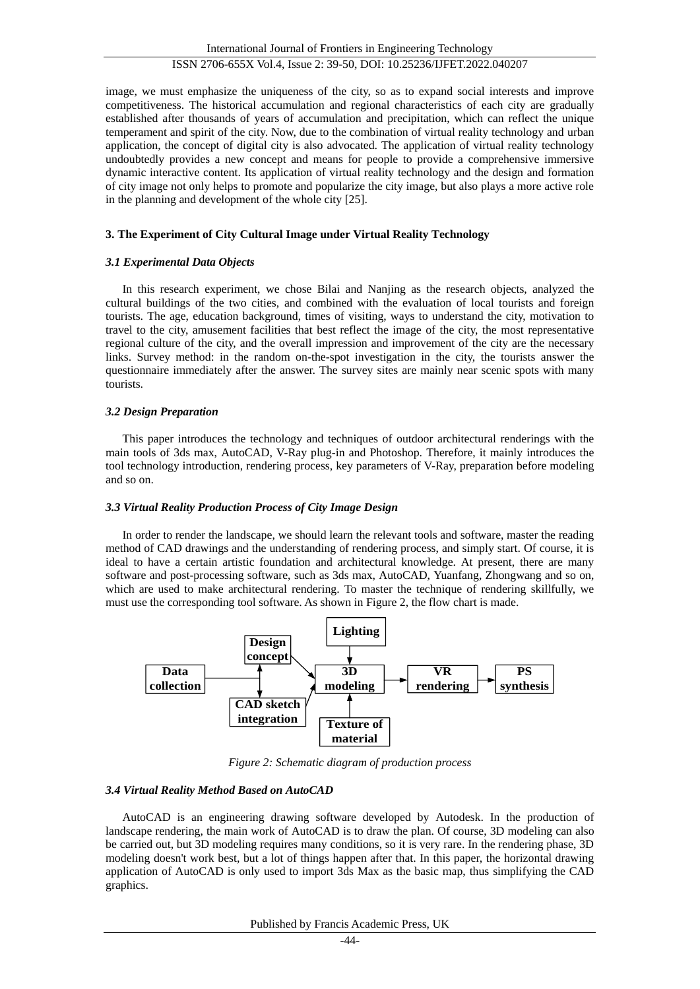image, we must emphasize the uniqueness of the city, so as to expand social interests and improve competitiveness. The historical accumulation and regional characteristics of each city are gradually established after thousands of years of accumulation and precipitation, which can reflect the unique temperament and spirit of the city. Now, due to the combination of virtual reality technology and urban application, the concept of digital city is also advocated. The application of virtual reality technology undoubtedly provides a new concept and means for people to provide a comprehensive immersive dynamic interactive content. Its application of virtual reality technology and the design and formation of city image not only helps to promote and popularize the city image, but also plays a more active role in the planning and development of the whole city [25].

## **3. The Experiment of City Cultural Image under Virtual Reality Technology**

## *3.1 Experimental Data Objects*

In this research experiment, we chose Bilai and Nanjing as the research objects, analyzed the cultural buildings of the two cities, and combined with the evaluation of local tourists and foreign tourists. The age, education background, times of visiting, ways to understand the city, motivation to travel to the city, amusement facilities that best reflect the image of the city, the most representative regional culture of the city, and the overall impression and improvement of the city are the necessary links. Survey method: in the random on-the-spot investigation in the city, the tourists answer the questionnaire immediately after the answer. The survey sites are mainly near scenic spots with many tourists.

## *3.2 Design Preparation*

This paper introduces the technology and techniques of outdoor architectural renderings with the main tools of 3ds max, AutoCAD, V-Ray plug-in and Photoshop. Therefore, it mainly introduces the tool technology introduction, rendering process, key parameters of V-Ray, preparation before modeling and so on.

## *3.3 Virtual Reality Production Process of City Image Design*

In order to render the landscape, we should learn the relevant tools and software, master the reading method of CAD drawings and the understanding of rendering process, and simply start. Of course, it is ideal to have a certain artistic foundation and architectural knowledge. At present, there are many software and post-processing software, such as 3ds max, AutoCAD, Yuanfang, Zhongwang and so on, which are used to make architectural rendering. To master the technique of rendering skillfully, we must use the corresponding tool software. As shown in Figure 2, the flow chart is made.



*Figure 2: Schematic diagram of production process*

## *3.4 Virtual Reality Method Based on AutoCAD*

AutoCAD is an engineering drawing software developed by Autodesk. In the production of landscape rendering, the main work of AutoCAD is to draw the plan. Of course, 3D modeling can also be carried out, but 3D modeling requires many conditions, so it is very rare. In the rendering phase, 3D modeling doesn't work best, but a lot of things happen after that. In this paper, the horizontal drawing application of AutoCAD is only used to import 3ds Max as the basic map, thus simplifying the CAD graphics.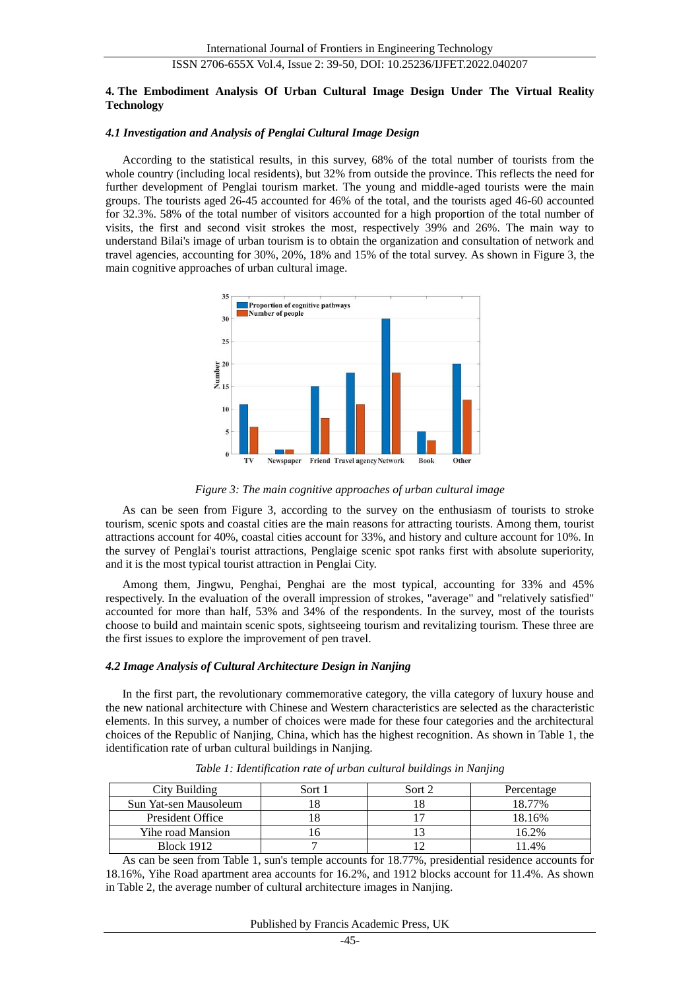### **4. The Embodiment Analysis Of Urban Cultural Image Design Under The Virtual Reality Technology**

#### *4.1 Investigation and Analysis of Penglai Cultural Image Design*

According to the statistical results, in this survey, 68% of the total number of tourists from the whole country (including local residents), but 32% from outside the province. This reflects the need for further development of Penglai tourism market. The young and middle-aged tourists were the main groups. The tourists aged 26-45 accounted for 46% of the total, and the tourists aged 46-60 accounted for 32.3%. 58% of the total number of visitors accounted for a high proportion of the total number of visits, the first and second visit strokes the most, respectively 39% and 26%. The main way to understand Bilai's image of urban tourism is to obtain the organization and consultation of network and travel agencies, accounting for 30%, 20%, 18% and 15% of the total survey. As shown in Figure 3, the main cognitive approaches of urban cultural image.



*Figure 3: The main cognitive approaches of urban cultural image*

As can be seen from Figure 3, according to the survey on the enthusiasm of tourists to stroke tourism, scenic spots and coastal cities are the main reasons for attracting tourists. Among them, tourist attractions account for 40%, coastal cities account for 33%, and history and culture account for 10%. In the survey of Penglai's tourist attractions, Penglaige scenic spot ranks first with absolute superiority, and it is the most typical tourist attraction in Penglai City.

Among them, Jingwu, Penghai, Penghai are the most typical, accounting for 33% and 45% respectively. In the evaluation of the overall impression of strokes, "average" and "relatively satisfied" accounted for more than half, 53% and 34% of the respondents. In the survey, most of the tourists choose to build and maintain scenic spots, sightseeing tourism and revitalizing tourism. These three are the first issues to explore the improvement of pen travel.

## *4.2 Image Analysis of Cultural Architecture Design in Nanjing*

In the first part, the revolutionary commemorative category, the villa category of luxury house and the new national architecture with Chinese and Western characteristics are selected as the characteristic elements. In this survey, a number of choices were made for these four categories and the architectural choices of the Republic of Nanjing, China, which has the highest recognition. As shown in Table 1, the identification rate of urban cultural buildings in Nanjing.

| City Building         | Sort 1 | Sort 2 | Percentage |
|-----------------------|--------|--------|------------|
| Sun Yat-sen Mausoleum |        |        | 18.77%     |
| President Office      |        |        | 18.16%     |
| Yihe road Mansion     |        |        | 16.2%      |
| <b>Block 1912</b>     |        |        | 11.4%      |

*Table 1: Identification rate of urban cultural buildings in Nanjing*

As can be seen from Table 1, sun's temple accounts for 18.77%, presidential residence accounts for 18.16%, Yihe Road apartment area accounts for 16.2%, and 1912 blocks account for 11.4%. As shown in Table 2, the average number of cultural architecture images in Nanjing.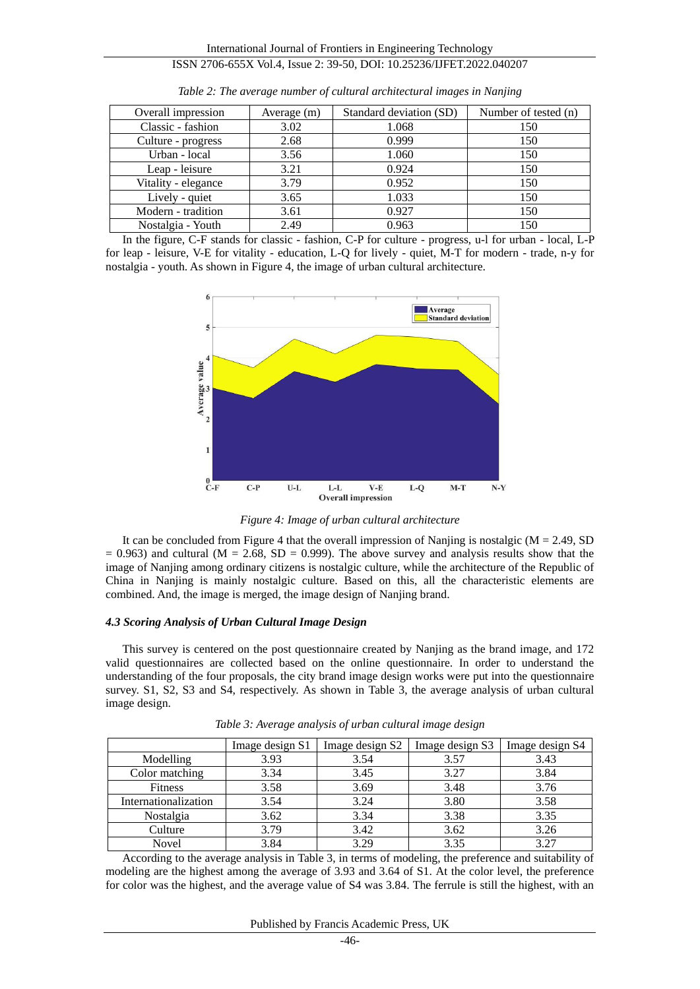| Overall impression  | Average (m) | Standard deviation (SD) | Number of tested (n) |
|---------------------|-------------|-------------------------|----------------------|
| Classic - fashion   | 3.02        | 1.068                   | 150                  |
| Culture - progress  | 2.68        | 0.999                   | 150                  |
| Urban - local       | 3.56        | 1.060                   | 150                  |
| Leap - leisure      | 3.21        | 0.924                   | 150                  |
| Vitality - elegance | 3.79        | 0.952                   | 150                  |
| Lively - quiet      | 3.65        | 1.033                   | 150                  |
| Modern - tradition  | 3.61        | 0.927                   | 150                  |
| Nostalgia - Youth   | 2.49        | 0.963                   | 150                  |

*Table 2: The average number of cultural architectural images in Nanjing*

In the figure, C-F stands for classic - fashion, C-P for culture - progress, u-l for urban - local, L-P for leap - leisure, V-E for vitality - education, L-Q for lively - quiet, M-T for modern - trade, n-y for nostalgia - youth. As shown in Figure 4, the image of urban cultural architecture.



*Figure 4: Image of urban cultural architecture*

It can be concluded from Figure 4 that the overall impression of Nanjing is nostalgic  $(M = 2.49, SD)$  $= 0.963$ ) and cultural (M = 2.68, SD = 0.999). The above survey and analysis results show that the image of Nanjing among ordinary citizens is nostalgic culture, while the architecture of the Republic of China in Nanjing is mainly nostalgic culture. Based on this, all the characteristic elements are combined. And, the image is merged, the image design of Nanjing brand.

## *4.3 Scoring Analysis of Urban Cultural Image Design*

This survey is centered on the post questionnaire created by Nanjing as the brand image, and 172 valid questionnaires are collected based on the online questionnaire. In order to understand the understanding of the four proposals, the city brand image design works were put into the questionnaire survey. S1, S2, S3 and S4, respectively. As shown in Table 3, the average analysis of urban cultural image design.

|                      | Image design S1 | Image design S2 | Image design S3 | Image design S4 |
|----------------------|-----------------|-----------------|-----------------|-----------------|
| Modelling            | 3.93            | 3.54            | 3.57            | 3.43            |
| Color matching       | 3.34            | 3.45            | 3.27            | 3.84            |
| <b>Fitness</b>       | 3.58            | 3.69            | 3.48            | 3.76            |
| Internationalization | 3.54            | 3.24            | 3.80            | 3.58            |
| Nostalgia            | 3.62            | 3.34            | 3.38            | 3.35            |
| Culture              | 3.79            | 3.42            | 3.62            | 3.26            |
| Novel                | 3.84            | 3.29            | 3.35            | 3.27            |

*Table 3: Average analysis of urban cultural image design*

According to the average analysis in Table 3, in terms of modeling, the preference and suitability of modeling are the highest among the average of 3.93 and 3.64 of S1. At the color level, the preference for color was the highest, and the average value of S4 was 3.84. The ferrule is still the highest, with an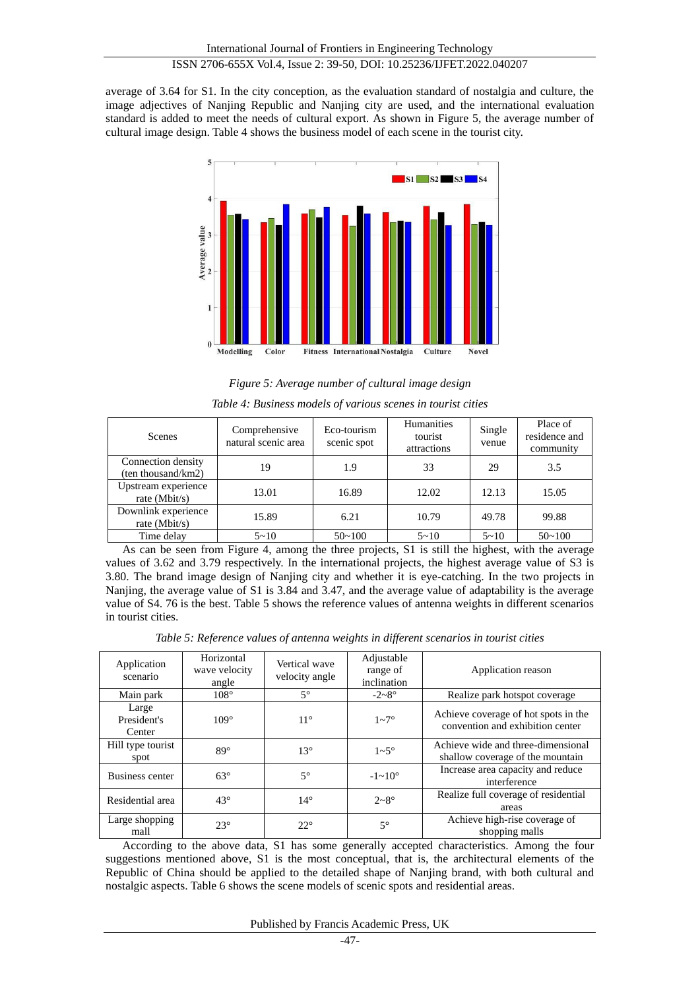average of 3.64 for S1. In the city conception, as the evaluation standard of nostalgia and culture, the image adjectives of Nanjing Republic and Nanjing city are used, and the international evaluation standard is added to meet the needs of cultural export. As shown in Figure 5, the average number of cultural image design. Table 4 shows the business model of each scene in the tourist city.



*Figure 5: Average number of cultural image design*

| <b>Scenes</b>                            | Comprehensive<br>natural scenic area | Eco-tourism<br>scenic spot | <b>Humanities</b><br>tourist<br>attractions | Single<br>venue | Place of<br>residence and<br>community |
|------------------------------------------|--------------------------------------|----------------------------|---------------------------------------------|-----------------|----------------------------------------|
| Connection density<br>(ten thousand/km2) | 19                                   | 1.9                        | 33                                          | 29              | 3.5                                    |
| Upstream experience<br>rate ( $Mbit/s$ ) | 13.01                                | 16.89                      | 12.02                                       | 12.13           | 15.05                                  |
| Downlink experience<br>rate $(Mbit/s)$   | 15.89                                | 6.21                       | 10.79                                       | 49.78           | 99.88                                  |
| Time delay                               | $5 - 10$                             | $50 - 100$                 | $5 - 10$                                    | $5 - 10$        | $50 - 100$                             |

*Table 4: Business models of various scenes in tourist cities*

As can be seen from Figure 4, among the three projects, S1 is still the highest, with the average values of 3.62 and 3.79 respectively. In the international projects, the highest average value of S3 is 3.80. The brand image design of Nanjing city and whether it is eye-catching. In the two projects in Nanjing, the average value of S1 is 3.84 and 3.47, and the average value of adaptability is the average value of S4. 76 is the best. Table 5 shows the reference values of antenna weights in different scenarios in tourist cities.

*Table 5: Reference values of antenna weights in different scenarios in tourist cities*

| Application<br>scenario        | Horizontal<br>wave velocity<br>angle | Vertical wave<br>velocity angle | Adjustable<br>range of<br>inclination | Application reason                                                       |
|--------------------------------|--------------------------------------|---------------------------------|---------------------------------------|--------------------------------------------------------------------------|
| Main park                      | 108°                                 | $5^{\circ}$                     | $-2-8$ °                              | Realize park hotspot coverage                                            |
| Large<br>President's<br>Center | 109°                                 | $11^{\circ}$                    | $1 - 7$ °                             | Achieve coverage of hot spots in the<br>convention and exhibition center |
| Hill type tourist<br>spot      | 89°                                  | $13^{\circ}$                    | $1-5$ °                               | Achieve wide and three-dimensional<br>shallow coverage of the mountain   |
| Business center                | $63^\circ$                           | $5^{\circ}$                     | $-1 \sim 10^{\circ}$                  | Increase area capacity and reduce<br>interference                        |
| Residential area               | $43^{\circ}$                         | $14^{\circ}$                    | $2 - 8$ °                             | Realize full coverage of residential<br>areas                            |
| Large shopping<br>mall         | 23°                                  | 22°                             | $5^{\circ}$                           | Achieve high-rise coverage of<br>shopping malls                          |

According to the above data, S1 has some generally accepted characteristics. Among the four suggestions mentioned above, S1 is the most conceptual, that is, the architectural elements of the Republic of China should be applied to the detailed shape of Nanjing brand, with both cultural and nostalgic aspects. Table 6 shows the scene models of scenic spots and residential areas.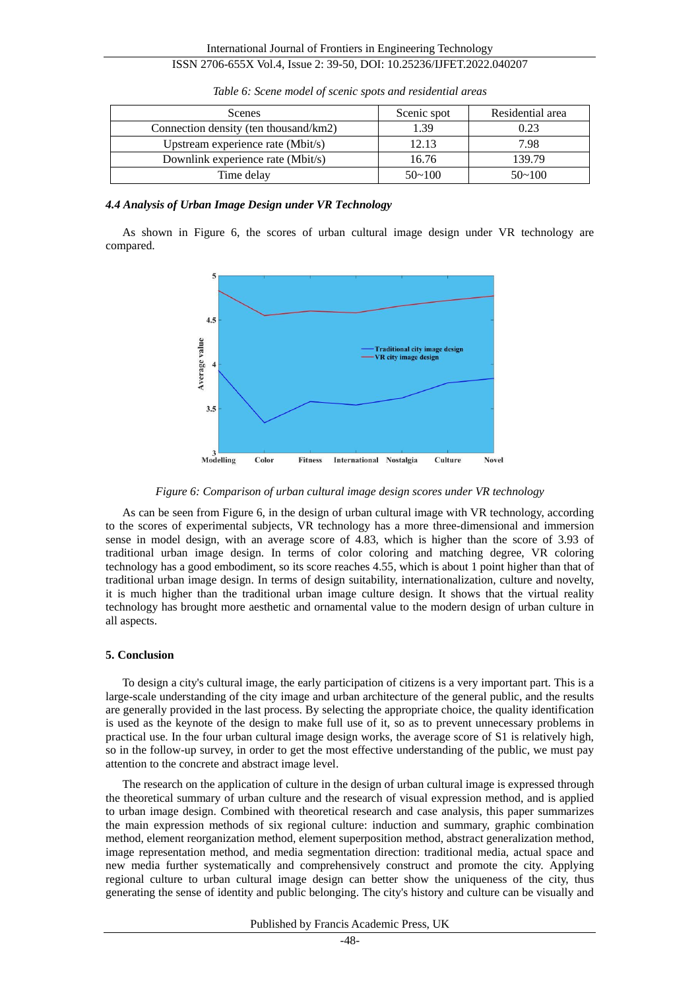| <b>Scenes</b>                         | Scenic spot | Residential area |
|---------------------------------------|-------------|------------------|
| Connection density (ten thousand/km2) | 1.39        | 0.23             |
| Upstream experience rate (Mbit/s)     | 12.13       | 7.98             |
| Downlink experience rate (Mbit/s)     | 16.76       | 139.79           |
| Time delay                            | $50 - 100$  | $50 - 100$       |

*Table 6: Scene model of scenic spots and residential areas*

#### *4.4 Analysis of Urban Image Design under VR Technology*

As shown in Figure 6, the scores of urban cultural image design under VR technology are compared.



*Figure 6: Comparison of urban cultural image design scores under VR technology*

As can be seen from Figure 6, in the design of urban cultural image with VR technology, according to the scores of experimental subjects, VR technology has a more three-dimensional and immersion sense in model design, with an average score of 4.83, which is higher than the score of 3.93 of traditional urban image design. In terms of color coloring and matching degree, VR coloring technology has a good embodiment, so its score reaches 4.55, which is about 1 point higher than that of traditional urban image design. In terms of design suitability, internationalization, culture and novelty, it is much higher than the traditional urban image culture design. It shows that the virtual reality technology has brought more aesthetic and ornamental value to the modern design of urban culture in all aspects.

## **5. Conclusion**

To design a city's cultural image, the early participation of citizens is a very important part. This is a large-scale understanding of the city image and urban architecture of the general public, and the results are generally provided in the last process. By selecting the appropriate choice, the quality identification is used as the keynote of the design to make full use of it, so as to prevent unnecessary problems in practical use. In the four urban cultural image design works, the average score of S1 is relatively high, so in the follow-up survey, in order to get the most effective understanding of the public, we must pay attention to the concrete and abstract image level.

The research on the application of culture in the design of urban cultural image is expressed through the theoretical summary of urban culture and the research of visual expression method, and is applied to urban image design. Combined with theoretical research and case analysis, this paper summarizes the main expression methods of six regional culture: induction and summary, graphic combination method, element reorganization method, element superposition method, abstract generalization method, image representation method, and media segmentation direction: traditional media, actual space and new media further systematically and comprehensively construct and promote the city. Applying regional culture to urban cultural image design can better show the uniqueness of the city, thus generating the sense of identity and public belonging. The city's history and culture can be visually and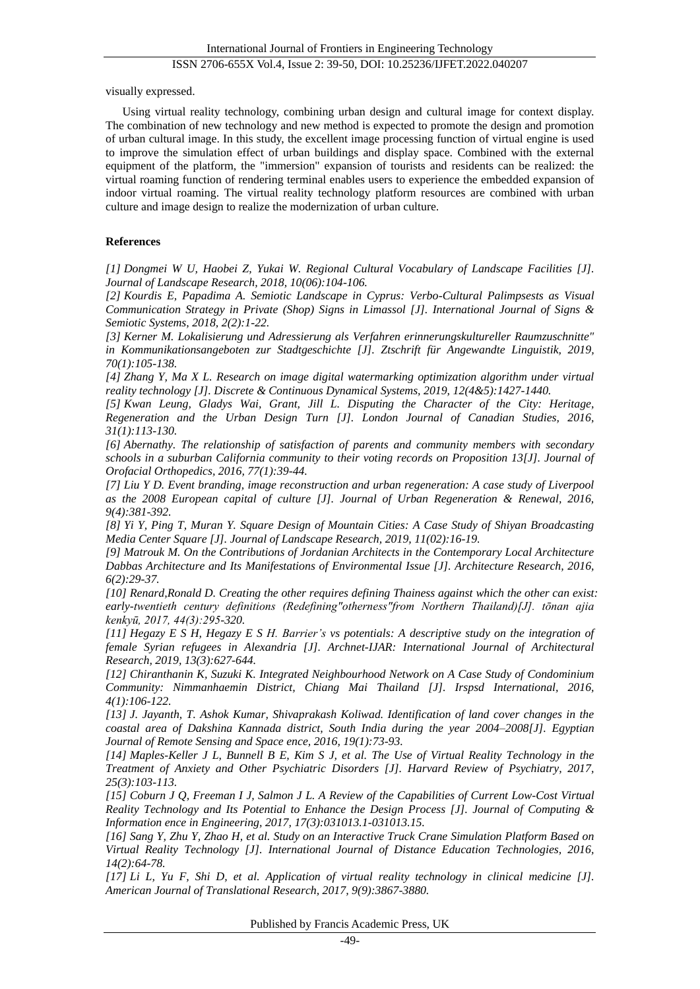visually expressed.

Using virtual reality technology, combining urban design and cultural image for context display. The combination of new technology and new method is expected to promote the design and promotion of urban cultural image. In this study, the excellent image processing function of virtual engine is used to improve the simulation effect of urban buildings and display space. Combined with the external equipment of the platform, the "immersion" expansion of tourists and residents can be realized: the virtual roaming function of rendering terminal enables users to experience the embedded expansion of indoor virtual roaming. The virtual reality technology platform resources are combined with urban culture and image design to realize the modernization of urban culture.

## **References**

*[1] Dongmei W U, Haobei Z, Yukai W. Regional Cultural Vocabulary of Landscape Facilities [J]. Journal of Landscape Research, 2018, 10(06):104-106.*

*[2] Kourdis E, Papadima A. Semiotic Landscape in Cyprus: Verbo-Cultural Palimpsests as Visual Communication Strategy in Private (Shop) Signs in Limassol [J]. International Journal of Signs & Semiotic Systems, 2018, 2(2):1-22.*

*[3] Kerner M. Lokalisierung und Adressierung als Verfahren erinnerungskultureller Raumzuschnitte" in Kommunikationsangeboten zur Stadtgeschichte [J]. Ztschrift für Angewandte Linguistik, 2019, 70(1):105-138.*

*[4] Zhang Y, Ma X L. Research on image digital watermarking optimization algorithm under virtual reality technology [J]. Discrete & Continuous Dynamical Systems, 2019, 12(4&5):1427-1440.*

*[5] Kwan Leung, Gladys Wai, Grant, Jill L. Disputing the Character of the City: Heritage, Regeneration and the Urban Design Turn [J]. London Journal of Canadian Studies, 2016, 31(1):113-130.*

*[6] Abernathy. The relationship of satisfaction of parents and community members with secondary schools in a suburban California community to their voting records on Proposition 13[J]. Journal of Orofacial Orthopedics, 2016, 77(1):39-44.*

*[7] Liu Y D. Event branding, image reconstruction and urban regeneration: A case study of Liverpool as the 2008 European capital of culture [J]. Journal of Urban Regeneration & Renewal, 2016, 9(4):381-392.*

*[8] Yi Y, Ping T, Muran Y. Square Design of Mountain Cities: A Case Study of Shiyan Broadcasting Media Center Square [J]. Journal of Landscape Research, 2019, 11(02):16-19.*

*[9] Matrouk M. On the Contributions of Jordanian Architects in the Contemporary Local Architecture Dabbas Architecture and Its Manifestations of Environmental Issue [J]. Architecture Research, 2016, 6(2):29-37.*

*[10] Renard,Ronald D. Creating the other requires defining Thainess against which the other can exist: early-twentieth century definitions (Redefining"otherness"from Northern Thailand)[J]. tōnan ajia kenkyū, 2017, 44(3):295-320.*

*[11] Hegazy E S H, Hegazy E S H. Barrier's vs potentials: A descriptive study on the integration of female Syrian refugees in Alexandria [J]. Archnet-IJAR: International Journal of Architectural Research, 2019, 13(3):627-644.*

*[12] Chiranthanin K, Suzuki K. Integrated Neighbourhood Network on A Case Study of Condominium Community: Nimmanhaemin District, Chiang Mai Thailand [J]. Irspsd International, 2016, 4(1):106-122.*

*[13] J. Jayanth, T. Ashok Kumar, Shivaprakash Koliwad. Identification of land cover changes in the coastal area of Dakshina Kannada district, South India during the year 2004–2008[J]. Egyptian Journal of Remote Sensing and Space ence, 2016, 19(1):73-93.*

*[14] Maples-Keller J L, Bunnell B E, Kim S J, et al. The Use of Virtual Reality Technology in the Treatment of Anxiety and Other Psychiatric Disorders [J]. Harvard Review of Psychiatry, 2017, 25(3):103-113.*

*[15] Coburn J Q, Freeman I J, Salmon J L. A Review of the Capabilities of Current Low-Cost Virtual Reality Technology and Its Potential to Enhance the Design Process [J]. Journal of Computing & Information ence in Engineering, 2017, 17(3):031013.1-031013.15.*

*[16] Sang Y, Zhu Y, Zhao H, et al. Study on an Interactive Truck Crane Simulation Platform Based on Virtual Reality Technology [J]. International Journal of Distance Education Technologies, 2016, 14(2):64-78.*

*[17] Li L, Yu F, Shi D, et al. Application of virtual reality technology in clinical medicine [J]. American Journal of Translational Research, 2017, 9(9):3867-3880.*